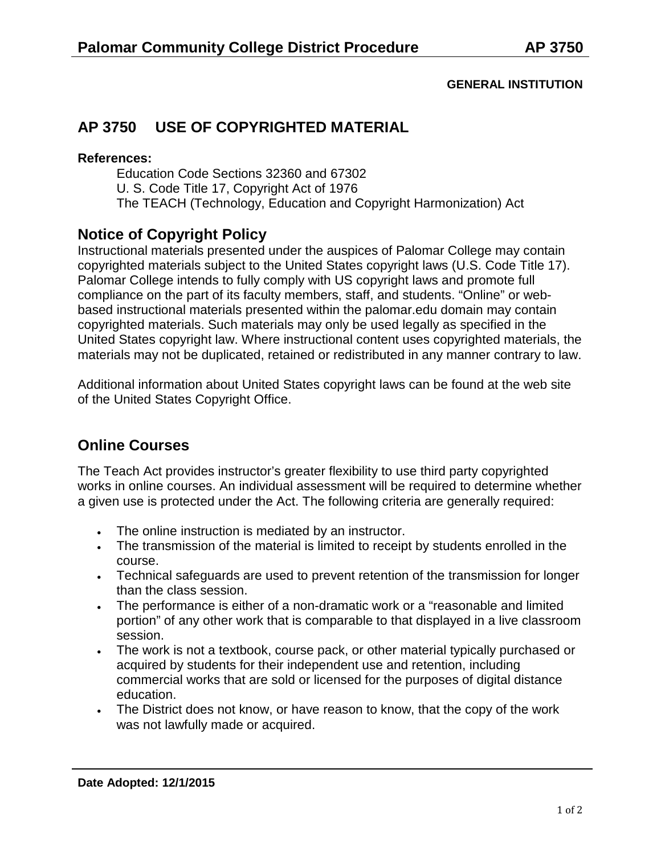#### **GENERAL INSTITUTION**

# **AP 3750 USE OF COPYRIGHTED MATERIAL**

#### **References:**

Education Code Sections 32360 and 67302 U. S. Code Title 17, Copyright Act of 1976 The TEACH (Technology, Education and Copyright Harmonization) Act

## **Notice of Copyright Policy**

Instructional materials presented under the auspices of Palomar College may contain copyrighted materials subject to the United States copyright laws (U.S. Code Title 17). Palomar College intends to fully comply with US copyright laws and promote full compliance on the part of its faculty members, staff, and students. "Online" or webbased instructional materials presented within the palomar.edu domain may contain copyrighted materials. Such materials may only be used legally as specified in the United States copyright law. Where instructional content uses copyrighted materials, the materials may not be duplicated, retained or redistributed in any manner contrary to law.

Additional information about United States copyright laws can be found at the web site of the United States Copyright Office.

## **Online Courses**

The Teach Act provides instructor's greater flexibility to use third party copyrighted works in online courses. An individual assessment will be required to determine whether a given use is protected under the Act. The following criteria are generally required:

- The online instruction is mediated by an instructor.
- The transmission of the material is limited to receipt by students enrolled in the course.
- Technical safeguards are used to prevent retention of the transmission for longer than the class session.
- The performance is either of a non-dramatic work or a "reasonable and limited portion" of any other work that is comparable to that displayed in a live classroom session.
- The work is not a textbook, course pack, or other material typically purchased or acquired by students for their independent use and retention, including commercial works that are sold or licensed for the purposes of digital distance education.
- The District does not know, or have reason to know, that the copy of the work was not lawfully made or acquired.